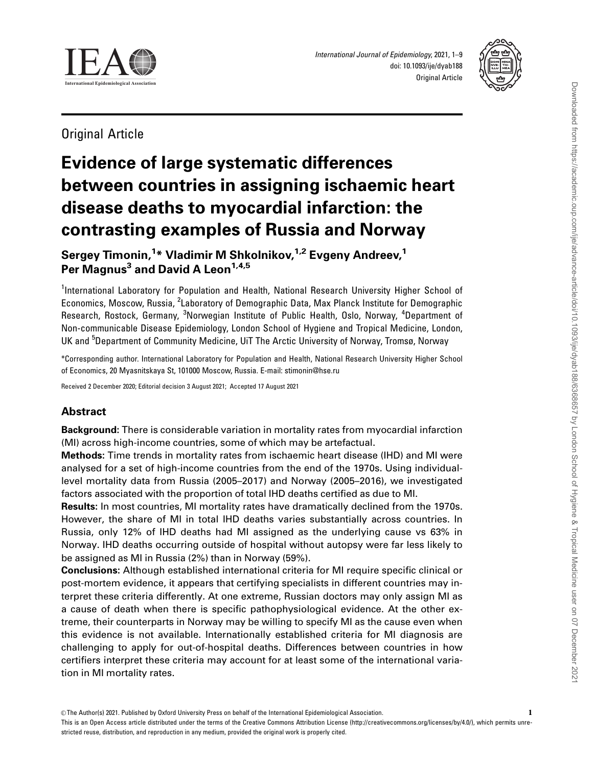

International Journal of Epidemiology, 2021, 1–9 doi: 10.1093/ije/dyab188 Original Article



Original Article

# Evidence of large systematic differences between countries in assigning ischaemic heart disease deaths to myocardial infarction: the contrasting examples of Russia and Norway

Sergey Timonin,<sup>1</sup>\* Vladimir M Shkolnikov,<sup>1,2</sup> Evgeny Andreev,<sup>1</sup> Per Magnus<sup>3</sup> and David A Leon<sup>1,4,5</sup>

<sup>1</sup>International Laboratory for Population and Health, National Research University Higher School of Economics, Moscow, Russia, <sup>2</sup>Laboratory of Demographic Data, Max Planck Institute for Demographic Research, Rostock, Germany, <sup>3</sup>Norwegian Institute of Public Health, Oslo, Norway, <sup>4</sup>Department of Non-communicable Disease Epidemiology, London School of Hygiene and Tropical Medicine, London, UK and <sup>5</sup>Department of Community Medicine, UiT The Arctic University of Norway, Tromsø, Norway

\*Corresponding author. International Laboratory for Population and Health, National Research University Higher School of Economics, 20 Myasnitskaya St, 101000 Moscow, Russia. E-mail: stimonin@hse.ru

Received 2 December 2020; Editorial decision 3 August 2021; Accepted 17 August 2021

# Abstract

Background: There is considerable variation in mortality rates from myocardial infarction (MI) across high-income countries, some of which may be artefactual.

Methods: Time trends in mortality rates from ischaemic heart disease (IHD) and MI were analysed for a set of high-income countries from the end of the 1970s. Using individuallevel mortality data from Russia (2005–2017) and Norway (2005–2016), we investigated factors associated with the proportion of total IHD deaths certified as due to MI.

Results: In most countries, MI mortality rates have dramatically declined from the 1970s. However, the share of MI in total IHD deaths varies substantially across countries. In Russia, only 12% of IHD deaths had MI assigned as the underlying cause vs 63% in Norway. IHD deaths occurring outside of hospital without autopsy were far less likely to be assigned as MI in Russia (2%) than in Norway (59%).

Conclusions: Although established international criteria for MI require specific clinical or post-mortem evidence, it appears that certifying specialists in different countries may interpret these criteria differently. At one extreme, Russian doctors may only assign MI as a cause of death when there is specific pathophysiological evidence. At the other extreme, their counterparts in Norway may be willing to specify MI as the cause even when this evidence is not available. Internationally established criteria for MI diagnosis are challenging to apply for out-of-hospital deaths. Differences between countries in how certifiers interpret these criteria may account for at least some of the international variation in MI mortality rates.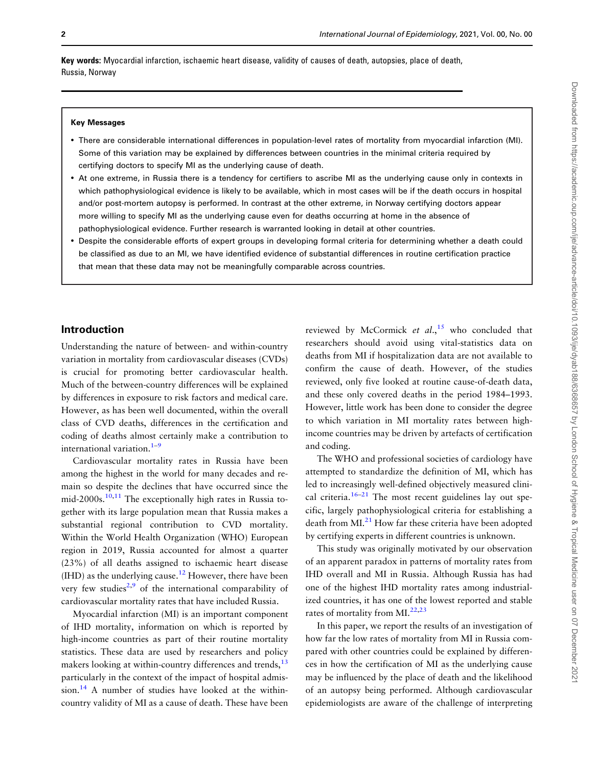<span id="page-1-0"></span>Key words: Myocardial infarction, ischaemic heart disease, validity of causes of death, autopsies, place of death, Russia, Norway

#### Key Messages

- There are considerable international differences in population-level rates of mortality from myocardial infarction (MI). Some of this variation may be explained by differences between countries in the minimal criteria required by certifying doctors to specify MI as the underlying cause of death.
- At one extreme, in Russia there is a tendency for certifiers to ascribe MI as the underlying cause only in contexts in which pathophysiological evidence is likely to be available, which in most cases will be if the death occurs in hospital and/or post-mortem autopsy is performed. In contrast at the other extreme, in Norway certifying doctors appear more willing to specify MI as the underlying cause even for deaths occurring at home in the absence of pathophysiological evidence. Further research is warranted looking in detail at other countries.
- Despite the considerable efforts of expert groups in developing formal criteria for determining whether a death could be classified as due to an MI, we have identified evidence of substantial differences in routine certification practice that mean that these data may not be meaningfully comparable across countries.

## Introduction

Understanding the nature of between- and within-country variation in mortality from cardiovascular diseases (CVDs) is crucial for promoting better cardiovascular health. Much of the between-country differences will be explained by differences in exposure to risk factors and medical care. However, as has been well documented, within the overall class of CVD deaths, differences in the certification and coding of deaths almost certainly make a contribution to international variation. $1-9$  $1-9$ 

Cardiovascular mortality rates in Russia have been among the highest in the world for many decades and remain so despite the declines that have occurred since the mid-2000s.<sup>10,11</sup> The exceptionally high rates in Russia together with its large population mean that Russia makes a substantial regional contribution to CVD mortality. Within the World Health Organization (WHO) European region in 2019, Russia accounted for almost a quarter (23%) of all deaths assigned to ischaemic heart disease  $(HID)$  as the underlying cause.<sup>[12](#page-7-0)</sup> However, there have been very few studies<sup>2,9</sup> of the international comparability of cardiovascular mortality rates that have included Russia.

Myocardial infarction (MI) is an important component of IHD mortality, information on which is reported by high-income countries as part of their routine mortality statistics. These data are used by researchers and policy makers looking at within-country differences and trends,<sup>[13](#page-7-0)</sup> particularly in the context of the impact of hospital admis $sion.<sup>14</sup>$  A number of studies have looked at the withincountry validity of MI as a cause of death. These have been

reviewed by McCormick et  $al$ , <sup>[15](#page-7-0)</sup> who concluded that researchers should avoid using vital-statistics data on deaths from MI if hospitalization data are not available to confirm the cause of death. However, of the studies reviewed, only five looked at routine cause-of-death data, and these only covered deaths in the period 1984–1993. However, little work has been done to consider the degree to which variation in MI mortality rates between highincome countries may be driven by artefacts of certification and coding.

The WHO and professional societies of cardiology have attempted to standardize the definition of MI, which has led to increasingly well-defined objectively measured clini-cal criteria.<sup>[16](#page-7-0)–[21](#page-8-0)</sup> The most recent guidelines lay out specific, largely pathophysiological criteria for establishing a death from MI.<sup>21</sup> How far these criteria have been adopted by certifying experts in different countries is unknown.

This study was originally motivated by our observation of an apparent paradox in patterns of mortality rates from IHD overall and MI in Russia. Although Russia has had one of the highest IHD mortality rates among industrialized countries, it has one of the lowest reported and stable rates of mortality from MI.<sup>[22,23](#page-8-0)</sup>

In this paper, we report the results of an investigation of how far the low rates of mortality from MI in Russia compared with other countries could be explained by differences in how the certification of MI as the underlying cause may be influenced by the place of death and the likelihood of an autopsy being performed. Although cardiovascular epidemiologists are aware of the challenge of interpreting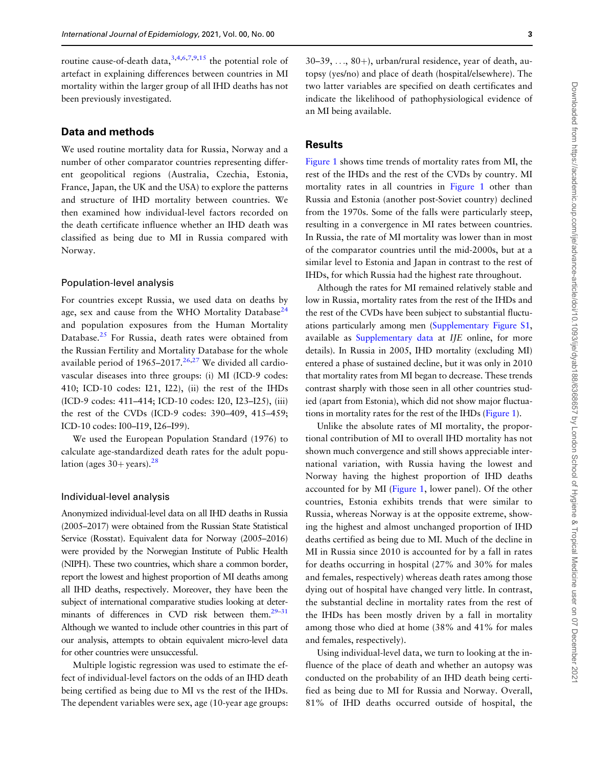<span id="page-2-0"></span>routine cause-of-death data,  $3,4,6,7,9,15$  the potential role of artefact in explaining differences between countries in MI mortality within the larger group of all IHD deaths has not been previously investigated.

## Data and methods

We used routine mortality data for Russia, Norway and a number of other comparator countries representing different geopolitical regions (Australia, Czechia, Estonia, France, Japan, the UK and the USA) to explore the patterns and structure of IHD mortality between countries. We then examined how individual-level factors recorded on the death certificate influence whether an IHD death was classified as being due to MI in Russia compared with Norway.

#### Population-level analysis

For countries except Russia, we used data on deaths by age, sex and cause from the WHO Mortality Database<sup>24</sup> and population exposures from the Human Mortality Database.<sup>[25](#page-8-0)</sup> For Russia, death rates were obtained from the Russian Fertility and Mortality Database for the whole available period of  $1965-2017<sup>26,27</sup>$  $1965-2017<sup>26,27</sup>$  $1965-2017<sup>26,27</sup>$  We divided all cardiovascular diseases into three groups: (i) MI (ICD-9 codes: 410; ICD-10 codes: I21, I22), (ii) the rest of the IHDs (ICD-9 codes: 411–414; ICD-10 codes: I20, I23–I25), (iii) the rest of the CVDs (ICD-9 codes: 390–409, 415–459; ICD-10 codes: I00–I19, I26–I99).

We used the European Population Standard (1976) to calculate age-standardized death rates for the adult population (ages  $30+$  years).<sup>[28](#page-8-0)</sup>

## Individual-level analysis

Anonymized individual-level data on all IHD deaths in Russia (2005–2017) were obtained from the Russian State Statistical Service (Rosstat). Equivalent data for Norway (2005–2016) were provided by the Norwegian Institute of Public Health (NIPH). These two countries, which share a common border, report the lowest and highest proportion of MI deaths among all IHD deaths, respectively. Moreover, they have been the subject of international comparative studies looking at determinants of differences in CVD risk between them.<sup>29-31</sup> Although we wanted to include other countries in this part of our analysis, attempts to obtain equivalent micro-level data for other countries were unsuccessful.

Multiple logistic regression was used to estimate the effect of individual-level factors on the odds of an IHD death being certified as being due to MI vs the rest of the IHDs. The dependent variables were sex, age (10-year age groups:

 $30-39, \ldots, 80+)$ , urban/rural residence, year of death, autopsy (yes/no) and place of death (hospital/elsewhere). The two latter variables are specified on death certificates and indicate the likelihood of pathophysiological evidence of an MI being available.

#### Results

[Figure 1](#page-3-0) shows time trends of mortality rates from MI, the rest of the IHDs and the rest of the CVDs by country. MI mortality rates in all countries in [Figure 1](#page-3-0) other than Russia and Estonia (another post-Soviet country) declined from the 1970s. Some of the falls were particularly steep, resulting in a convergence in MI rates between countries. In Russia, the rate of MI mortality was lower than in most of the comparator countries until the mid-2000s, but at a similar level to Estonia and Japan in contrast to the rest of IHDs, for which Russia had the highest rate throughout.

Although the rates for MI remained relatively stable and low in Russia, mortality rates from the rest of the IHDs and the rest of the CVDs have been subject to substantial fluctuations particularly among men [\(Supplementary Figure S1,](https://academic.oup.com/ije/article-lookup/doi/10.1093/ije/dyab188#supplementary-data) available as [Supplementary data](https://academic.oup.com/ije/article-lookup/doi/10.1093/ije/dyab188#supplementary-data) at IJE online, for more details). In Russia in 2005, IHD mortality (excluding MI) entered a phase of sustained decline, but it was only in 2010 that mortality rates from MI began to decrease. These trends contrast sharply with those seen in all other countries studied (apart from Estonia), which did not show major fluctuations in mortality rates for the rest of the IHDs ([Figure 1\)](#page-3-0).

Unlike the absolute rates of MI mortality, the proportional contribution of MI to overall IHD mortality has not shown much convergence and still shows appreciable international variation, with Russia having the lowest and Norway having the highest proportion of IHD deaths accounted for by MI [\(Figure 1,](#page-3-0) lower panel). Of the other countries, Estonia exhibits trends that were similar to Russia, whereas Norway is at the opposite extreme, showing the highest and almost unchanged proportion of IHD deaths certified as being due to MI. Much of the decline in MI in Russia since 2010 is accounted for by a fall in rates for deaths occurring in hospital (27% and 30% for males and females, respectively) whereas death rates among those dying out of hospital have changed very little. In contrast, the substantial decline in mortality rates from the rest of the IHDs has been mostly driven by a fall in mortality among those who died at home (38% and 41% for males and females, respectively).

Using individual-level data, we turn to looking at the influence of the place of death and whether an autopsy was conducted on the probability of an IHD death being certified as being due to MI for Russia and Norway. Overall, 81% of IHD deaths occurred outside of hospital, the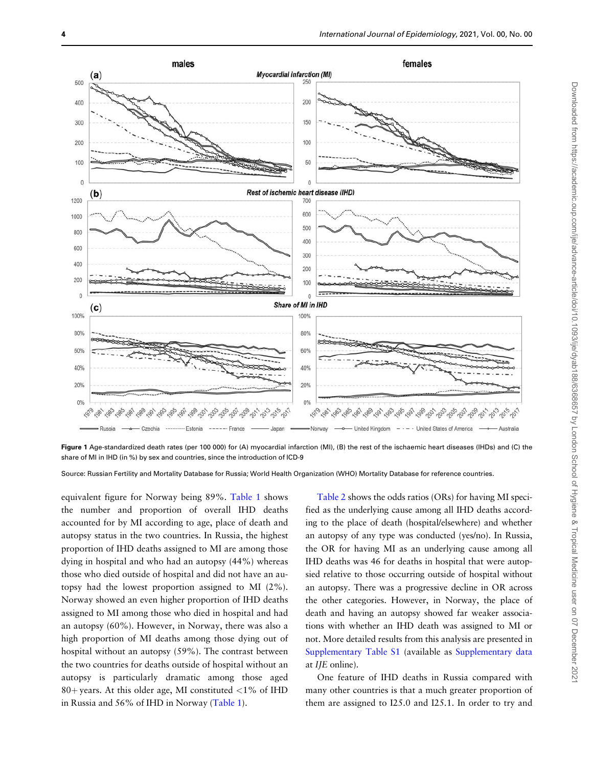<span id="page-3-0"></span>

Figure 1 Age-standardized death rates (per 100 000) for (A) myocardial infarction (MI), (B) the rest of the ischaemic heart diseases (IHDs) and (C) the share of MI in IHD (in %) by sex and countries, since the introduction of ICD-9

Source: Russian Fertility and Mortality Database for Russia; World Health Organization (WHO) Mortality Database for reference countries.

equivalent figure for Norway being 89%. Table 1 shows the number and proportion of overall IHD deaths accounted for by MI according to age, place of death and autopsy status in the two countries. In Russia, the highest proportion of IHD deaths assigned to MI are among those dying in hospital and who had an autopsy (44%) whereas those who died outside of hospital and did not have an autopsy had the lowest proportion assigned to MI (2%). Norway showed an even higher proportion of IHD deaths assigned to MI among those who died in hospital and had an autopsy (60%). However, in Norway, there was also a high proportion of MI deaths among those dying out of hospital without an autopsy (59%). The contrast between the two countries for deaths outside of hospital without an autopsy is particularly dramatic among those aged 80+ years. At this older age, MI constituted  $<$ 1% of IHD in Russia and 56% of IHD in Norway (Table 1).

[Table 2](#page-4-0) shows the odds ratios (ORs) for having MI specified as the underlying cause among all IHD deaths according to the place of death (hospital/elsewhere) and whether an autopsy of any type was conducted (yes/no). In Russia, the OR for having MI as an underlying cause among all IHD deaths was 46 for deaths in hospital that were autopsied relative to those occurring outside of hospital without an autopsy. There was a progressive decline in OR across the other categories. However, in Norway, the place of death and having an autopsy showed far weaker associations with whether an IHD death was assigned to MI or not. More detailed results from this analysis are presented in [Supplementary Table S1](https://academic.oup.com/ije/article-lookup/doi/10.1093/ije/dyab188#supplementary-data) (available as [Supplementary data](https://academic.oup.com/ije/article-lookup/doi/10.1093/ije/dyab188#supplementary-data) at IJE online).

One feature of IHD deaths in Russia compared with many other countries is that a much greater proportion of them are assigned to I25.0 and I25.1. In order to try and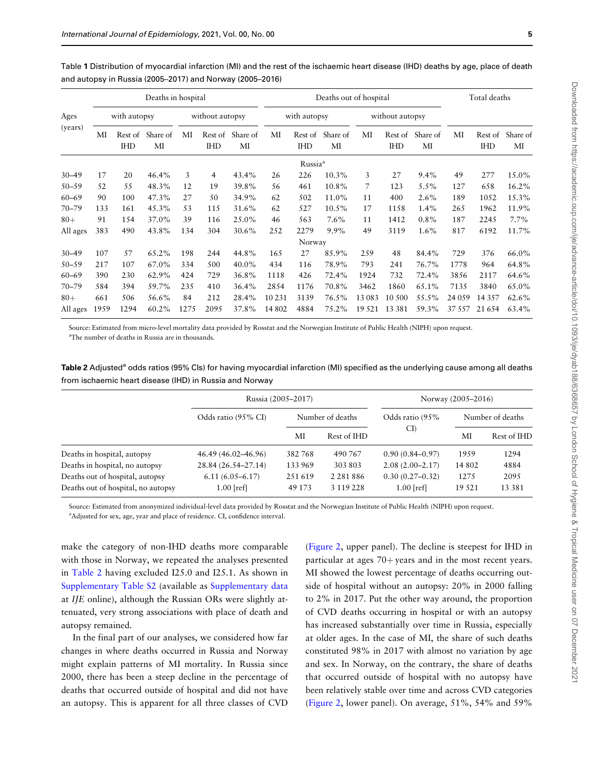<span id="page-4-0"></span>Table 1 Distribution of myocardial infarction (MI) and the rest of the ischaemic heart disease (IHD) deaths by age, place of death and autopsy in Russia (2005–2017) and Norway (2005–2016)

| Ages<br>(years) | Deaths in hospital |                       |                |                 |                       |                | Deaths out of hospital |                       |                |                 |                       | Total deaths   |          |                       |                |
|-----------------|--------------------|-----------------------|----------------|-----------------|-----------------------|----------------|------------------------|-----------------------|----------------|-----------------|-----------------------|----------------|----------|-----------------------|----------------|
|                 | with autopsy       |                       |                | without autopsy |                       |                | with autopsy           |                       |                | without autopsy |                       |                |          |                       |                |
|                 | МI                 | Rest of<br><b>IHD</b> | Share of<br>MI | МI              | Rest of<br><b>IHD</b> | Share of<br>МI | МI                     | Rest of<br><b>IHD</b> | Share of<br>МI | MI              | Rest of<br><b>IHD</b> | Share of<br>MI | МI       | Rest of<br><b>IHD</b> | Share of<br>МI |
|                 |                    |                       |                |                 |                       |                |                        | Russia <sup>a</sup>   |                |                 |                       |                |          |                       |                |
| $30 - 49$       | 17                 | 20                    | 46.4%          | 3               | 4                     | 43.4%          | 26                     | 226                   | 10.3%          | 3               | 27                    | $9.4\%$        | 49       | 277                   | 15.0%          |
| $50 - 59$       | 52                 | 55                    | 48.3%          | 12              | 19                    | 39.8%          | 56                     | 461                   | 10.8%          | 7               | 123                   | 5.5%           | 127      | 658                   | 16.2%          |
| $60 - 69$       | 90                 | 100                   | 47.3%          | 27              | 50                    | 34.9%          | 62                     | 502                   | 11.0%          | 11              | 400                   | 2.6%           | 189      | 1052                  | 15.3%          |
| $70 - 79$       | 133                | 161                   | 45.3%          | 53              | 115                   | 31.6%          | 62                     | 527                   | 10.5%          | 17              | 1158                  | 1.4%           | 265      | 1962                  | 11.9%          |
| $80+$           | 91                 | 154                   | 37.0%          | 39              | 116                   | 25.0%          | 46                     | 563                   | $7.6\%$        | 11              | 1412                  | $0.8\%$        | 187      | 2245                  | 7.7%           |
| All ages        | 383                | 490                   | 43.8%          | 134             | 304                   | 30.6%          | 252                    | 2279                  | $9.9\%$        | 49              | 3119                  | $1.6\%$        | 817      | 6192                  | 11.7%          |
|                 |                    |                       |                |                 |                       |                |                        | Norway                |                |                 |                       |                |          |                       |                |
| $30 - 49$       | 107                | 57                    | 65.2%          | 198             | 244                   | 44.8%          | 165                    | 27                    | 85.9%          | 259             | 48                    | 84.4%          | 729      | 376                   | 66.0%          |
| $50 - 59$       | 217                | 107                   | 67.0%          | 334             | 500                   | 40.0%          | 434                    | 116                   | 78.9%          | 793             | 241                   | 76.7%          | 1778     | 964                   | 64.8%          |
| $60 - 69$       | 390                | 230                   | 62.9%          | 424             | 729                   | 36.8%          | 1118                   | 426                   | 72.4%          | 1924            | 732                   | 72.4%          | 3856     | 2117                  | 64.6%          |
| $70 - 79$       | 584                | 394                   | 59.7%          | 235             | 410                   | 36.4%          | 2854                   | 1176                  | 70.8%          | 3462            | 1860                  | 65.1%          | 7135     | 3840                  | 65.0%          |
| $80+$           | 661                | 506                   | 56.6%          | 84              | 212                   | 28.4%          | 10 231                 | 3139                  | 76.5%          | 13 083          | 10 500                | 55.5%          | 24 05 9  | 14 3 5 7              | 62.6%          |
| All ages        | 1959               | 1294                  | 60.2%          | 1275            | 2095                  | 37.8%          | 14 802                 | 4884                  | 75.2%          | 19 5 21         | 13 3 8 1              | 59.3%          | 37 5 5 7 | 21 6 5 4              | 63.4%          |

Source: Estimated from micro-level mortality data provided by Rosstat and the Norwegian Institute of Public Health (NIPH) upon request. a The number of deaths in Russia are in thousands.

| Table 2 Adjusted <sup>a</sup> odds ratios (95% Cls) for having myocardial infarction (MI) specified as the underlying cause among all deaths |
|----------------------------------------------------------------------------------------------------------------------------------------------|
| from ischaemic heart disease (IHD) in Russia and Norwav                                                                                      |

|                                    | Russia (2005–2017)  | Norway (2005–2016) |                  |                        |                  |             |  |
|------------------------------------|---------------------|--------------------|------------------|------------------------|------------------|-------------|--|
|                                    | Odds ratio (95% CI) |                    | Number of deaths | Odds ratio (95%<br>CI) | Number of deaths |             |  |
|                                    |                     | MI                 | Rest of IHD      |                        | ΜΙ               | Rest of IHD |  |
| Deaths in hospital, autopsy        | 46.49 (46.02–46.96) | 382768             | 490 767          | $0.90(0.84 - 0.97)$    | 1959             | 1294        |  |
| Deaths in hospital, no autopsy     | 28.84 (26.54-27.14) | 133969             | 303 803          | $2.08(2.00-2.17)$      | 14 802           | 4884        |  |
| Deaths out of hospital, autopsy    | $6.11(6.05 - 6.17)$ | 251619             | 2 2 8 1 8 8 6    | $0.30(0.27-0.32)$      | 1275             | 2095        |  |
| Deaths out of hospital, no autopsy | $1.00$ [ref]        | 49 173             | 3 119 228        | $1.00$ [ref]           | 19 5 21          | 13 3 8 1    |  |

Source: Estimated from anonymized individual-level data provided by Rosstat and the Norwegian Institute of Public Health (NIPH) upon request.

<sup>a</sup>Adjusted for sex, age, year and place of residence. CI, confidence interval.

make the category of non-IHD deaths more comparable with those in Norway, we repeated the analyses presented in Table 2 having excluded I25.0 and I25.1. As shown in [Supplementary Table S2](https://academic.oup.com/ije/article-lookup/doi/10.1093/ije/dyab188#supplementary-data) (available as [Supplementary data](https://academic.oup.com/ije/article-lookup/doi/10.1093/ije/dyab188#supplementary-data) at IJE online), although the Russian ORs were slightly attenuated, very strong associations with place of death and autopsy remained.

In the final part of our analyses, we considered how far changes in where deaths occurred in Russia and Norway might explain patterns of MI mortality. In Russia since 2000, there has been a steep decline in the percentage of deaths that occurred outside of hospital and did not have an autopsy. This is apparent for all three classes of CVD

[\(Figure 2](#page-5-0), upper panel). The decline is steepest for IHD in particular at ages  $70+$  years and in the most recent years. MI showed the lowest percentage of deaths occurring outside of hospital without an autopsy: 20% in 2000 falling to 2% in 2017. Put the other way around, the proportion of CVD deaths occurring in hospital or with an autopsy has increased substantially over time in Russia, especially at older ages. In the case of MI, the share of such deaths constituted 98% in 2017 with almost no variation by age and sex. In Norway, on the contrary, the share of deaths that occurred outside of hospital with no autopsy have been relatively stable over time and across CVD categories [\(Figure 2](#page-5-0), lower panel). On average, 51%, 54% and 59%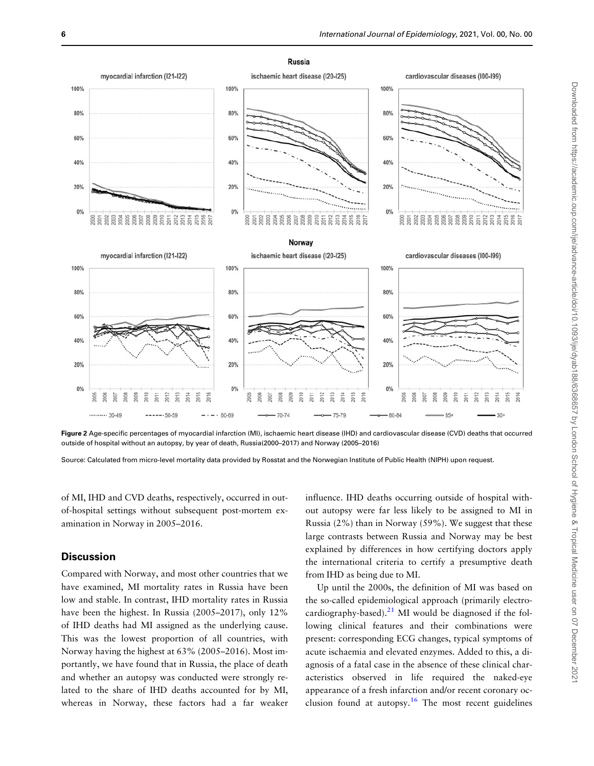<span id="page-5-0"></span>

Figure 2 Age-specific percentages of myocardial infarction (MI), ischaemic heart disease (IHD) and cardiovascular disease (CVD) deaths that occurred outside of hospital without an autopsy, by year of death, Russia(2000–2017) and Norway (2005–2016)

Source: Calculated from micro-level mortality data provided by Rosstat and the Norwegian Institute of Public Health (NIPH) upon request.

of MI, IHD and CVD deaths, respectively, occurred in outof-hospital settings without subsequent post-mortem examination in Norway in 2005–2016.

## **Discussion**

Compared with Norway, and most other countries that we have examined, MI mortality rates in Russia have been low and stable. In contrast, IHD mortality rates in Russia have been the highest. In Russia (2005–2017), only 12% of IHD deaths had MI assigned as the underlying cause. This was the lowest proportion of all countries, with Norway having the highest at 63% (2005–2016). Most importantly, we have found that in Russia, the place of death and whether an autopsy was conducted were strongly related to the share of IHD deaths accounted for by MI, whereas in Norway, these factors had a far weaker influence. IHD deaths occurring outside of hospital without autopsy were far less likely to be assigned to MI in Russia (2%) than in Norway (59%). We suggest that these large contrasts between Russia and Norway may be best explained by differences in how certifying doctors apply the international criteria to certify a presumptive death from IHD as being due to MI.

Up until the 2000s, the definition of MI was based on the so-called epidemiological approach (primarily electrocardiography-based). $^{21}$  MI would be diagnosed if the following clinical features and their combinations were present: corresponding ECG changes, typical symptoms of acute ischaemia and elevated enzymes. Added to this, a diagnosis of a fatal case in the absence of these clinical characteristics observed in life required the naked-eye appearance of a fresh infarction and/or recent coronary occlusion found at autopsy.<sup>16</sup> The most recent guidelines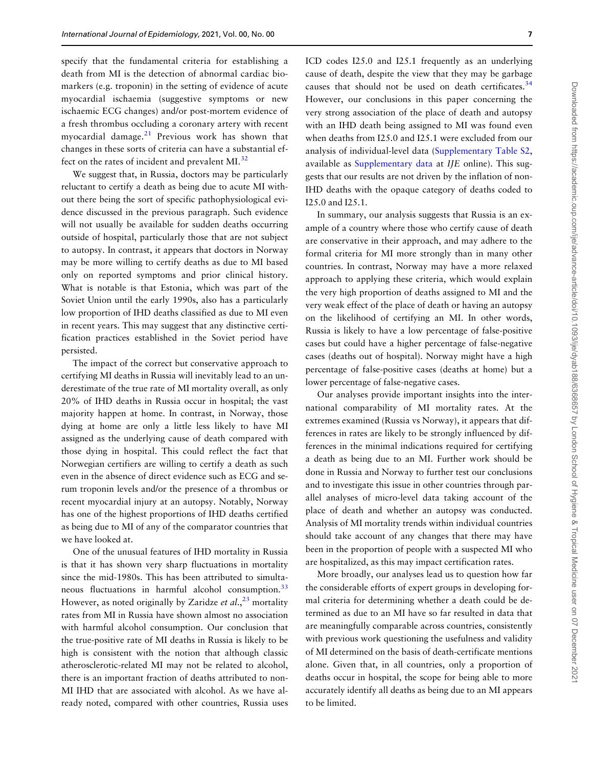<span id="page-6-0"></span>specify that the fundamental criteria for establishing a death from MI is the detection of abnormal cardiac biomarkers (e.g. troponin) in the setting of evidence of acute myocardial ischaemia (suggestive symptoms or new ischaemic ECG changes) and/or post-mortem evidence of a fresh thrombus occluding a coronary artery with recent myocardial damage. $21$  Previous work has shown that changes in these sorts of criteria can have a substantial ef-fect on the rates of incident and prevalent MI.<sup>[32](#page-8-0)</sup>

We suggest that, in Russia, doctors may be particularly reluctant to certify a death as being due to acute MI without there being the sort of specific pathophysiological evidence discussed in the previous paragraph. Such evidence will not usually be available for sudden deaths occurring outside of hospital, particularly those that are not subject to autopsy. In contrast, it appears that doctors in Norway may be more willing to certify deaths as due to MI based only on reported symptoms and prior clinical history. What is notable is that Estonia, which was part of the Soviet Union until the early 1990s, also has a particularly low proportion of IHD deaths classified as due to MI even in recent years. This may suggest that any distinctive certification practices established in the Soviet period have persisted.

The impact of the correct but conservative approach to certifying MI deaths in Russia will inevitably lead to an underestimate of the true rate of MI mortality overall, as only 20% of IHD deaths in Russia occur in hospital; the vast majority happen at home. In contrast, in Norway, those dying at home are only a little less likely to have MI assigned as the underlying cause of death compared with those dying in hospital. This could reflect the fact that Norwegian certifiers are willing to certify a death as such even in the absence of direct evidence such as ECG and serum troponin levels and/or the presence of a thrombus or recent myocardial injury at an autopsy. Notably, Norway has one of the highest proportions of IHD deaths certified as being due to MI of any of the comparator countries that we have looked at.

One of the unusual features of IHD mortality in Russia is that it has shown very sharp fluctuations in mortality since the mid-1980s. This has been attributed to simultaneous fluctuations in harmful alcohol consumption.<sup>33</sup> However, as noted originally by Zaridze et al.,  $^{23}$  $^{23}$  $^{23}$  mortality rates from MI in Russia have shown almost no association with harmful alcohol consumption. Our conclusion that the true-positive rate of MI deaths in Russia is likely to be high is consistent with the notion that although classic atherosclerotic-related MI may not be related to alcohol, there is an important fraction of deaths attributed to non-MI IHD that are associated with alcohol. As we have already noted, compared with other countries, Russia uses

ICD codes I25.0 and I25.1 frequently as an underlying cause of death, despite the view that they may be garbage causes that should not be used on death certificates. $34$ However, our conclusions in this paper concerning the very strong association of the place of death and autopsy with an IHD death being assigned to MI was found even when deaths from I25.0 and I25.1 were excluded from our analysis of individual-level data ([Supplementary Table S2,](https://academic.oup.com/ije/article-lookup/doi/10.1093/ije/dyab188#supplementary-data) available as [Supplementary data](https://academic.oup.com/ije/article-lookup/doi/10.1093/ije/dyab188#supplementary-data) at IJE online). This suggests that our results are not driven by the inflation of non-IHD deaths with the opaque category of deaths coded to I25.0 and I25.1.

In summary, our analysis suggests that Russia is an example of a country where those who certify cause of death are conservative in their approach, and may adhere to the formal criteria for MI more strongly than in many other countries. In contrast, Norway may have a more relaxed approach to applying these criteria, which would explain the very high proportion of deaths assigned to MI and the very weak effect of the place of death or having an autopsy on the likelihood of certifying an MI. In other words, Russia is likely to have a low percentage of false-positive cases but could have a higher percentage of false-negative cases (deaths out of hospital). Norway might have a high percentage of false-positive cases (deaths at home) but a lower percentage of false-negative cases.

Our analyses provide important insights into the international comparability of MI mortality rates. At the extremes examined (Russia vs Norway), it appears that differences in rates are likely to be strongly influenced by differences in the minimal indications required for certifying a death as being due to an MI. Further work should be done in Russia and Norway to further test our conclusions and to investigate this issue in other countries through parallel analyses of micro-level data taking account of the place of death and whether an autopsy was conducted. Analysis of MI mortality trends within individual countries should take account of any changes that there may have been in the proportion of people with a suspected MI who are hospitalized, as this may impact certification rates.

More broadly, our analyses lead us to question how far the considerable efforts of expert groups in developing formal criteria for determining whether a death could be determined as due to an MI have so far resulted in data that are meaningfully comparable across countries, consistently with previous work questioning the usefulness and validity of MI determined on the basis of death-certificate mentions alone. Given that, in all countries, only a proportion of deaths occur in hospital, the scope for being able to more accurately identify all deaths as being due to an MI appears to be limited.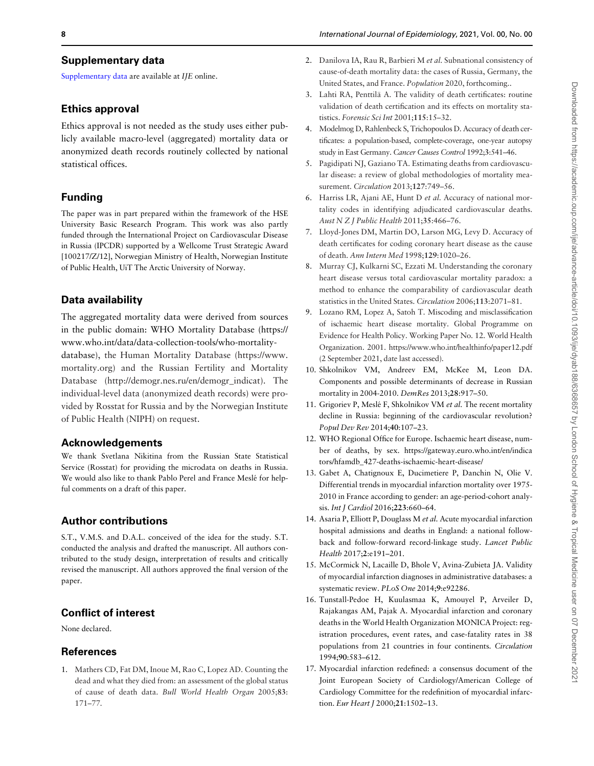## <span id="page-7-0"></span>Supplementary data

[Supplementary data](https://academic.oup.com/ije/article-lookup/doi/10.1093/ije/dyab188#supplementary-data) are available at IJE online.

## Ethics approval

Ethics approval is not needed as the study uses either publicly available macro-level (aggregated) mortality data or anonymized death records routinely collected by national statistical offices.

# Funding

The paper was in part prepared within the framework of the HSE University Basic Research Program. This work was also partly funded through the International Project on Cardiovascular Disease in Russia (IPCDR) supported by a Wellcome Trust Strategic Award [100217/Z/12], Norwegian Ministry of Health, Norwegian Institute of Public Health, UiT The Arctic University of Norway.

# Data availability

The aggregated mortality data were derived from sources in the public domain: WHO Mortality Database [\(https://](https://www.who.int/data/data-collection-tools/who-mortality-database) [www.who.int/data/data-collection-tools/who-mortality](https://www.who.int/data/data-collection-tools/who-mortality-database)[database\)](https://www.who.int/data/data-collection-tools/who-mortality-database), the Human Mortality Database [\(https://www.](https://www.mortality.org) [mortality.org](https://www.mortality.org)) and the Russian Fertility and Mortality Database ([http://demogr.nes.ru/en/demogr\\_indicat](http://demogr.nes.ru/en/demogr_indicat)). The individual-level data (anonymized death records) were provided by Rosstat for Russia and by the Norwegian Institute of Public Health (NIPH) on request.

## Acknowledgements

We thank Svetlana Nikitina from the Russian State Statistical Service (Rosstat) for providing the microdata on deaths in Russia. We would also like to thank Pablo Perel and France Meslé for helpful comments on a draft of this paper.

# Author contributions

S.T., V.M.S. and D.A.L. conceived of the idea for the study. S.T. conducted the analysis and drafted the manuscript. All authors contributed to the study design, interpretation of results and critically revised the manuscript. All authors approved the final version of the paper.

# Conflict of interest

None declared.

# **References**

1. Mathers CD, Fat DM, Inoue M, Rao C, Lopez AD. Counting the dead and what they died from: an assessment of the global status of cause of death data. Bull World Health Organ 2005;83: 171–77.

- [2.](#page-1-0) Danilova IA, Rau R, Barbieri M et al. Subnational consistency of cause-of-death mortality data: the cases of Russia, Germany, the United States, and France. Population 2020, forthcoming..
- [3.](#page-2-0) Lahti RA, Penttilä A. The validity of death certificates: routine validation of death certification and its effects on mortality statistics. Forensic Sci Int 2001;115:15–32.
- [4.](#page-2-0) Modelmog D, Rahlenbeck S, Trichopoulos D. Accuracy of death certificates: a population-based, complete-coverage, one-year autopsy study in East Germany. Cancer Causes Control 1992;3:541–46.
- 5. Pagidipati NJ, Gaziano TA. Estimating deaths from cardiovascular disease: a review of global methodologies of mortality measurement. Circulation 2013;127:749–56.
- [6.](#page-2-0) Harriss LR, Ajani AE, Hunt D et al. Accuracy of national mortality codes in identifying adjudicated cardiovascular deaths. Aust N Z J Public Health 2011;35:466–76.
- [7.](#page-2-0) Lloyd-Jones DM, Martin DO, Larson MG, Levy D. Accuracy of death certificates for coding coronary heart disease as the cause of death. Ann Intern Med 1998;129:1020–26.
- 8. Murray CJ, Kulkarni SC, Ezzati M. Understanding the coronary heart disease versus total cardiovascular mortality paradox: a method to enhance the comparability of cardiovascular death statistics in the United States. Circulation 2006;113:2071–81.
- [9.](#page-1-0) Lozano RM, Lopez A, Satoh T. Miscoding and misclassification of ischaemic heart disease mortality. Global Programme on Evidence for Health Policy. Working Paper No. 12. World Health Organization. 2001.<https://www.who.int/healthinfo/paper12.pdf> [\(2 September 2021, date last accessed\).](https://www.who.int/healthinfo/paper12.pdf)
- [10.](#page-1-0) Shkolnikov VM, Andreev EM, McKee M, Leon DA. Components and possible determinants of decrease in Russian mortality in 2004-2010. DemRes 2013;28:917–50.
- [11.](#page-1-0) Grigoriev P, Meslé F, Shkolnikov VM et al. The recent mortality decline in Russia: beginning of the cardiovascular revolution? Popul Dev Rev 2014;40:107–23.
- [12.](#page-1-0) WHO Regional Office for Europe. Ischaemic heart disease, number of deaths, by sex. [https://gateway.euro.who.int/en/indica](https://gateway.euro.who.int/en/indicators/hfamdb_427-deaths-ischaemic-heart-disease/) [tors/hfamdb\\_427-deaths-ischaemic-heart-disease/](https://gateway.euro.who.int/en/indicators/hfamdb_427-deaths-ischaemic-heart-disease/)
- [13.](#page-1-0) Gabet A, Chatignoux E, Ducimetiere P, Danchin N, Olie V. Differential trends in myocardial infarction mortality over 1975- 2010 in France according to gender: an age-period-cohort analysis. Int J Cardiol 2016;223:660–64.
- [14.](#page-1-0) Asaria P, Elliott P, Douglass M et al. Acute myocardial infarction hospital admissions and deaths in England: a national followback and follow-forward record-linkage study. Lancet Public Health 2017;2:e191–201.
- [15.](#page-1-0) McCormick N, Lacaille D, Bhole V, Avina-Zubieta JA. Validity of myocardial infarction diagnoses in administrative databases: a systematic review. PLoS One 2014;9:e92286.
- [16.](#page-5-0) Tunstall-Pedoe H, Kuulasmaa K, Amouyel P, Arveiler D, Rajakangas AM, Pajak A. Myocardial infarction and coronary deaths in the World Health Organization MONICA Project: registration procedures, event rates, and case-fatality rates in 38 populations from 21 countries in four continents. Circulation 1994;90:583–612.
- 17. Myocardial infarction redefined: a consensus document of the Joint European Society of Cardiology/American College of Cardiology Committee for the redefinition of myocardial infarction. Eur Heart J 2000;21:1502–13.